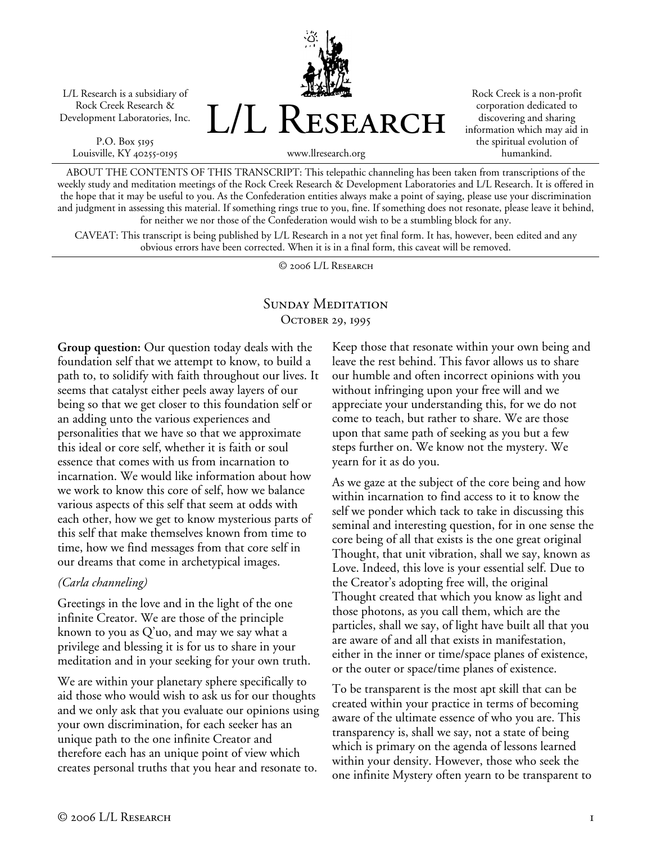L/L Research is a subsidiary of Rock Creek Research & Development Laboratories, Inc.

P.O. Box 5195 Louisville, KY 40255-0195 L/L Research

Rock Creek is a non-profit corporation dedicated to discovering and sharing information which may aid in the spiritual evolution of humankind.

www.llresearch.org

ABOUT THE CONTENTS OF THIS TRANSCRIPT: This telepathic channeling has been taken from transcriptions of the weekly study and meditation meetings of the Rock Creek Research & Development Laboratories and L/L Research. It is offered in the hope that it may be useful to you. As the Confederation entities always make a point of saying, please use your discrimination and judgment in assessing this material. If something rings true to you, fine. If something does not resonate, please leave it behind, for neither we nor those of the Confederation would wish to be a stumbling block for any.

CAVEAT: This transcript is being published by L/L Research in a not yet final form. It has, however, been edited and any obvious errors have been corrected. When it is in a final form, this caveat will be removed.

© 2006 L/L Research

## SUNDAY MEDITATION OCTOBER 29, 1995

**Group question:** Our question today deals with the foundation self that we attempt to know, to build a path to, to solidify with faith throughout our lives. It seems that catalyst either peels away layers of our being so that we get closer to this foundation self or an adding unto the various experiences and personalities that we have so that we approximate this ideal or core self, whether it is faith or soul essence that comes with us from incarnation to incarnation. We would like information about how we work to know this core of self, how we balance various aspects of this self that seem at odds with each other, how we get to know mysterious parts of this self that make themselves known from time to time, how we find messages from that core self in our dreams that come in archetypical images.

## *(Carla channeling)*

Greetings in the love and in the light of the one infinite Creator. We are those of the principle known to you as Q'uo, and may we say what a privilege and blessing it is for us to share in your meditation and in your seeking for your own truth.

We are within your planetary sphere specifically to aid those who would wish to ask us for our thoughts and we only ask that you evaluate our opinions using your own discrimination, for each seeker has an unique path to the one infinite Creator and therefore each has an unique point of view which creates personal truths that you hear and resonate to.

Keep those that resonate within your own being and leave the rest behind. This favor allows us to share our humble and often incorrect opinions with you without infringing upon your free will and we appreciate your understanding this, for we do not come to teach, but rather to share. We are those upon that same path of seeking as you but a few steps further on. We know not the mystery. We yearn for it as do you.

As we gaze at the subject of the core being and how within incarnation to find access to it to know the self we ponder which tack to take in discussing this seminal and interesting question, for in one sense the core being of all that exists is the one great original Thought, that unit vibration, shall we say, known as Love. Indeed, this love is your essential self. Due to the Creator's adopting free will, the original Thought created that which you know as light and those photons, as you call them, which are the particles, shall we say, of light have built all that you are aware of and all that exists in manifestation, either in the inner or time/space planes of existence, or the outer or space/time planes of existence.

To be transparent is the most apt skill that can be created within your practice in terms of becoming aware of the ultimate essence of who you are. This transparency is, shall we say, not a state of being which is primary on the agenda of lessons learned within your density. However, those who seek the one infinite Mystery often yearn to be transparent to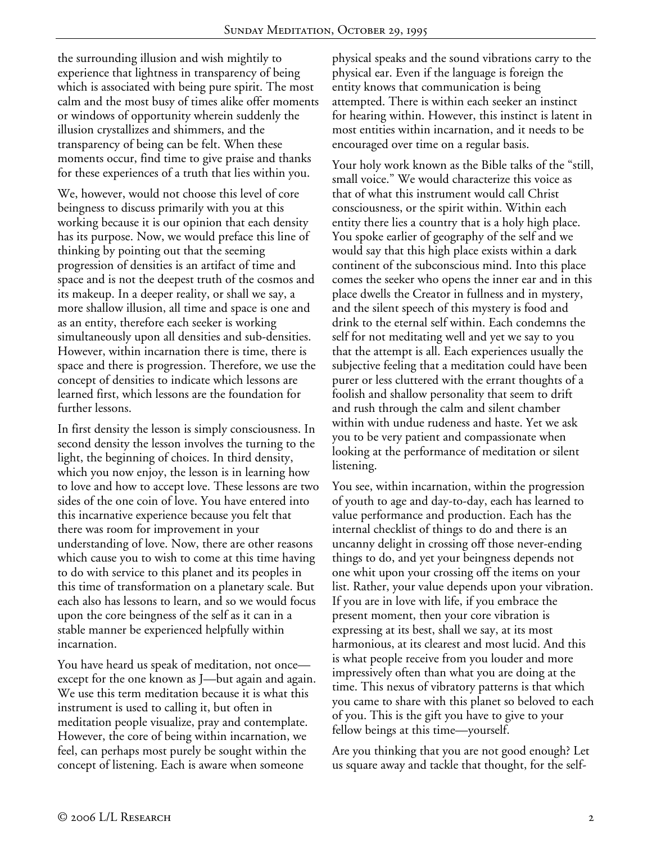the surrounding illusion and wish mightily to experience that lightness in transparency of being which is associated with being pure spirit. The most calm and the most busy of times alike offer moments or windows of opportunity wherein suddenly the illusion crystallizes and shimmers, and the transparency of being can be felt. When these moments occur, find time to give praise and thanks for these experiences of a truth that lies within you.

We, however, would not choose this level of core beingness to discuss primarily with you at this working because it is our opinion that each density has its purpose. Now, we would preface this line of thinking by pointing out that the seeming progression of densities is an artifact of time and space and is not the deepest truth of the cosmos and its makeup. In a deeper reality, or shall we say, a more shallow illusion, all time and space is one and as an entity, therefore each seeker is working simultaneously upon all densities and sub-densities. However, within incarnation there is time, there is space and there is progression. Therefore, we use the concept of densities to indicate which lessons are learned first, which lessons are the foundation for further lessons.

In first density the lesson is simply consciousness. In second density the lesson involves the turning to the light, the beginning of choices. In third density, which you now enjoy, the lesson is in learning how to love and how to accept love. These lessons are two sides of the one coin of love. You have entered into this incarnative experience because you felt that there was room for improvement in your understanding of love. Now, there are other reasons which cause you to wish to come at this time having to do with service to this planet and its peoples in this time of transformation on a planetary scale. But each also has lessons to learn, and so we would focus upon the core beingness of the self as it can in a stable manner be experienced helpfully within incarnation.

You have heard us speak of meditation, not once except for the one known as J—but again and again. We use this term meditation because it is what this instrument is used to calling it, but often in meditation people visualize, pray and contemplate. However, the core of being within incarnation, we feel, can perhaps most purely be sought within the concept of listening. Each is aware when someone

physical speaks and the sound vibrations carry to the physical ear. Even if the language is foreign the entity knows that communication is being attempted. There is within each seeker an instinct for hearing within. However, this instinct is latent in most entities within incarnation, and it needs to be encouraged over time on a regular basis.

Your holy work known as the Bible talks of the "still, small voice." We would characterize this voice as that of what this instrument would call Christ consciousness, or the spirit within. Within each entity there lies a country that is a holy high place. You spoke earlier of geography of the self and we would say that this high place exists within a dark continent of the subconscious mind. Into this place comes the seeker who opens the inner ear and in this place dwells the Creator in fullness and in mystery, and the silent speech of this mystery is food and drink to the eternal self within. Each condemns the self for not meditating well and yet we say to you that the attempt is all. Each experiences usually the subjective feeling that a meditation could have been purer or less cluttered with the errant thoughts of a foolish and shallow personality that seem to drift and rush through the calm and silent chamber within with undue rudeness and haste. Yet we ask you to be very patient and compassionate when looking at the performance of meditation or silent listening.

You see, within incarnation, within the progression of youth to age and day-to-day, each has learned to value performance and production. Each has the internal checklist of things to do and there is an uncanny delight in crossing off those never-ending things to do, and yet your beingness depends not one whit upon your crossing off the items on your list. Rather, your value depends upon your vibration. If you are in love with life, if you embrace the present moment, then your core vibration is expressing at its best, shall we say, at its most harmonious, at its clearest and most lucid. And this is what people receive from you louder and more impressively often than what you are doing at the time. This nexus of vibratory patterns is that which you came to share with this planet so beloved to each of you. This is the gift you have to give to your fellow beings at this time—yourself.

Are you thinking that you are not good enough? Let us square away and tackle that thought, for the self